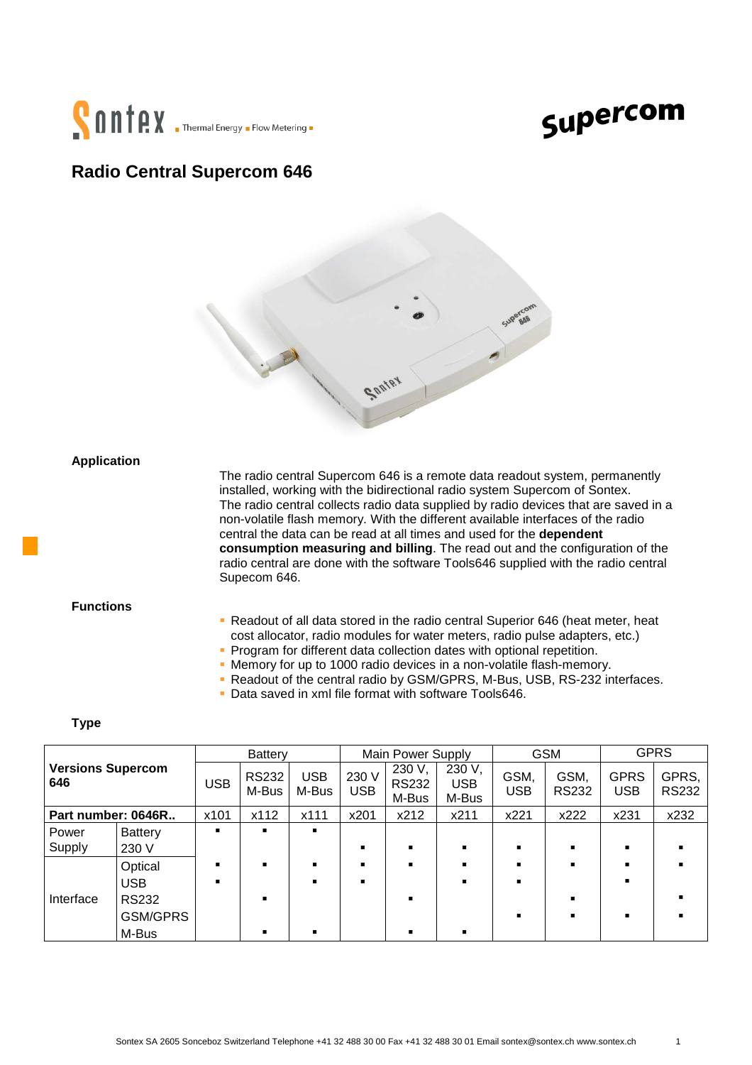

## Supercom

### **Radio Central Supercom 646**



**Application**

 The radio central Supercom 646 is a remote data readout system, permanently installed, working with the bidirectional radio system Supercom of Sontex. The radio central collects radio data supplied by radio devices that are saved in a non-volatile flash memory. With the different available interfaces of the radio central the data can be read at all times and used for the **dependent consumption measuring and billing**. The read out and the configuration of the radio central are done with the software Tools646 supplied with the radio central Supecom 646.

#### **Functions**

- Readout of all data stored in the radio central Superior 646 (heat meter, heat cost allocator, radio modules for water meters, radio pulse adapters, etc.)
- **Program for different data collection dates with optional repetition.**
- Memory for up to 1000 radio devices in a non-volatile flash-memory.
- Readout of the central radio by GSM/GPRS, M-Bus, USB, RS-232 interfaces.
- Data saved in xml file format with software Tools646.

#### **Type**

| <b>Versions Supercom</b><br>646 |                 | Battery        |                       | Main Power Supply   |                     |                                 | <b>GSM</b>                    |                    | <b>GPRS</b>          |                           |                       |
|---------------------------------|-----------------|----------------|-----------------------|---------------------|---------------------|---------------------------------|-------------------------------|--------------------|----------------------|---------------------------|-----------------------|
|                                 |                 | <b>USB</b>     | <b>RS232</b><br>M-Bus | <b>USB</b><br>M-Bus | 230 V<br><b>USB</b> | 230 V,<br><b>RS232</b><br>M-Bus | 230 V,<br><b>USB</b><br>M-Bus | GSM,<br><b>USB</b> | GSM,<br><b>RS232</b> | <b>GPRS</b><br><b>USB</b> | GPRS,<br><b>RS232</b> |
| Part number: 0646R              |                 | x101           | x112                  | x111                | x201                | x212                            | x211                          | x221               | x222                 | x231                      | x232                  |
| Power                           | <b>Battery</b>  | ٠              |                       | ٠                   |                     |                                 |                               |                    |                      |                           |                       |
| Supply                          | 230 V           |                |                       |                     |                     |                                 |                               | $\blacksquare$     |                      |                           |                       |
|                                 | Optical         | ٠              | $\blacksquare$        | $\blacksquare$      |                     | ٠                               | ٠                             | $\blacksquare$     |                      |                           |                       |
|                                 | <b>USB</b>      | $\blacksquare$ |                       | $\blacksquare$      |                     |                                 |                               | $\blacksquare$     |                      |                           |                       |
| Interface                       | <b>RS232</b>    |                |                       |                     |                     |                                 |                               |                    |                      |                           |                       |
|                                 | <b>GSM/GPRS</b> |                |                       |                     |                     |                                 |                               |                    |                      |                           |                       |
|                                 | M-Bus           |                |                       |                     |                     |                                 |                               |                    |                      |                           |                       |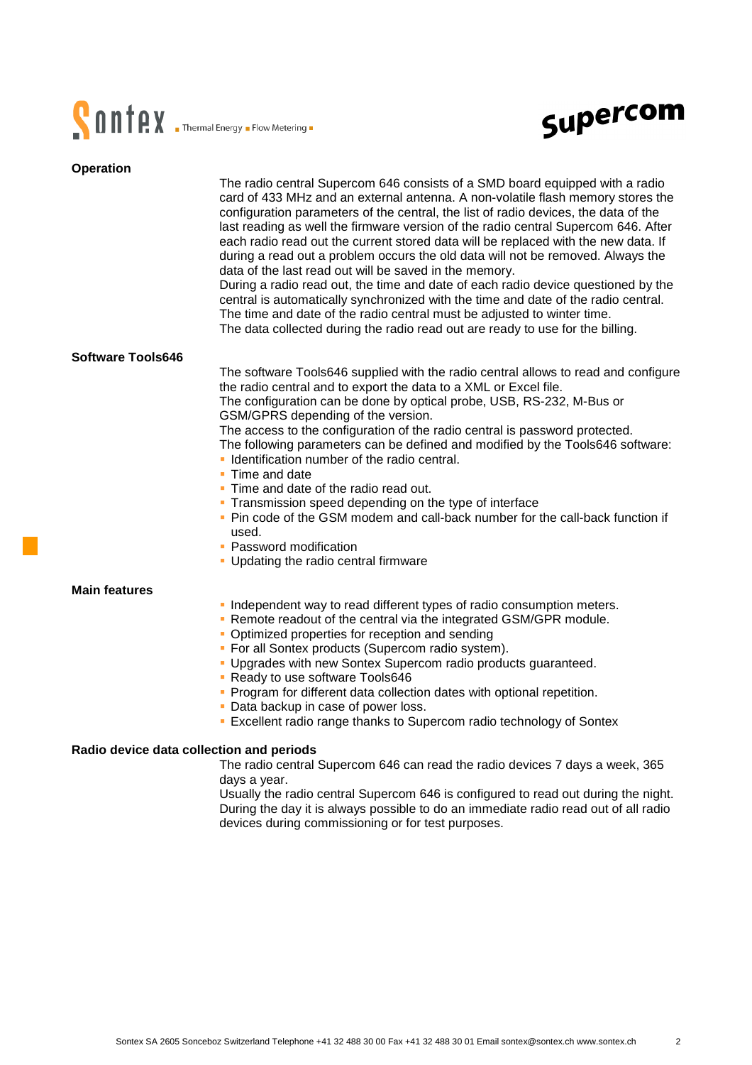



| <b>Operation</b>                         |                                                                                                                                                                                                                                                                                                                                                                                                                                                                                                                                                                                                                                                                                                                                                                                                                                                                                                                         |  |  |  |  |  |
|------------------------------------------|-------------------------------------------------------------------------------------------------------------------------------------------------------------------------------------------------------------------------------------------------------------------------------------------------------------------------------------------------------------------------------------------------------------------------------------------------------------------------------------------------------------------------------------------------------------------------------------------------------------------------------------------------------------------------------------------------------------------------------------------------------------------------------------------------------------------------------------------------------------------------------------------------------------------------|--|--|--|--|--|
|                                          | The radio central Supercom 646 consists of a SMD board equipped with a radio<br>card of 433 MHz and an external antenna. A non-volatile flash memory stores the<br>configuration parameters of the central, the list of radio devices, the data of the<br>last reading as well the firmware version of the radio central Supercom 646. After<br>each radio read out the current stored data will be replaced with the new data. If<br>during a read out a problem occurs the old data will not be removed. Always the<br>data of the last read out will be saved in the memory.<br>During a radio read out, the time and date of each radio device questioned by the<br>central is automatically synchronized with the time and date of the radio central.<br>The time and date of the radio central must be adjusted to winter time.<br>The data collected during the radio read out are ready to use for the billing. |  |  |  |  |  |
| Software Tools646                        |                                                                                                                                                                                                                                                                                                                                                                                                                                                                                                                                                                                                                                                                                                                                                                                                                                                                                                                         |  |  |  |  |  |
|                                          | The software Tools646 supplied with the radio central allows to read and configure<br>the radio central and to export the data to a XML or Excel file.<br>The configuration can be done by optical probe, USB, RS-232, M-Bus or<br>GSM/GPRS depending of the version.<br>The access to the configuration of the radio central is password protected.<br>The following parameters can be defined and modified by the Tools646 software:<br>• Identification number of the radio central.<br>• Time and date<br>• Time and date of the radio read out.<br>• Transmission speed depending on the type of interface<br>. Pin code of the GSM modem and call-back number for the call-back function if<br>used.<br>• Password modification<br>• Updating the radio central firmware                                                                                                                                          |  |  |  |  |  |
|                                          |                                                                                                                                                                                                                                                                                                                                                                                                                                                                                                                                                                                                                                                                                                                                                                                                                                                                                                                         |  |  |  |  |  |
| <b>Main features</b>                     | . Independent way to read different types of radio consumption meters.<br>. Remote readout of the central via the integrated GSM/GPR module.<br>• Optimized properties for reception and sending<br>• For all Sontex products (Supercom radio system).<br>. Upgrades with new Sontex Supercom radio products guaranteed.<br>• Ready to use software Tools646<br>• Program for different data collection dates with optional repetition.<br>• Data backup in case of power loss.<br>• Excellent radio range thanks to Supercom radio technology of Sontex                                                                                                                                                                                                                                                                                                                                                                |  |  |  |  |  |
| Radio device data collection and periods |                                                                                                                                                                                                                                                                                                                                                                                                                                                                                                                                                                                                                                                                                                                                                                                                                                                                                                                         |  |  |  |  |  |
|                                          | The radio central Supercom 646 can read the radio devices 7 days a week, 365<br>days a year.                                                                                                                                                                                                                                                                                                                                                                                                                                                                                                                                                                                                                                                                                                                                                                                                                            |  |  |  |  |  |

 Usually the radio central Supercom 646 is configured to read out during the night. During the day it is always possible to do an immediate radio read out of all radio devices during commissioning or for test purposes.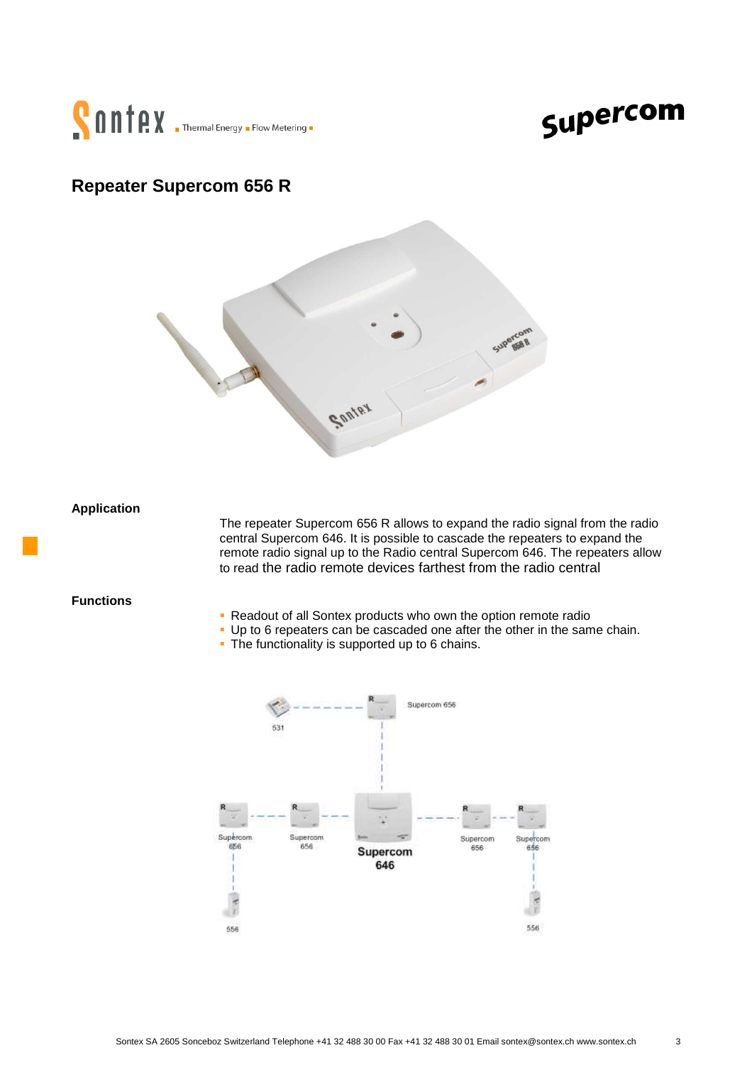

# Supercom

### **Repeater Supercom 656 R**



**Application**

The repeater Supercom 656 R allows to expand the radio signal from the radio central Supercom 646. It is possible to cascade the repeaters to expand the remote radio signal up to the Radio central Supercom 646. The repeaters allow to read the radio remote devices farthest from the radio central

**Functions** 

- **Readout of all Sontex products who own the option remote radio**
- Up to 6 repeaters can be cascaded one after the other in the same chain.
- The functionality is supported up to 6 chains.

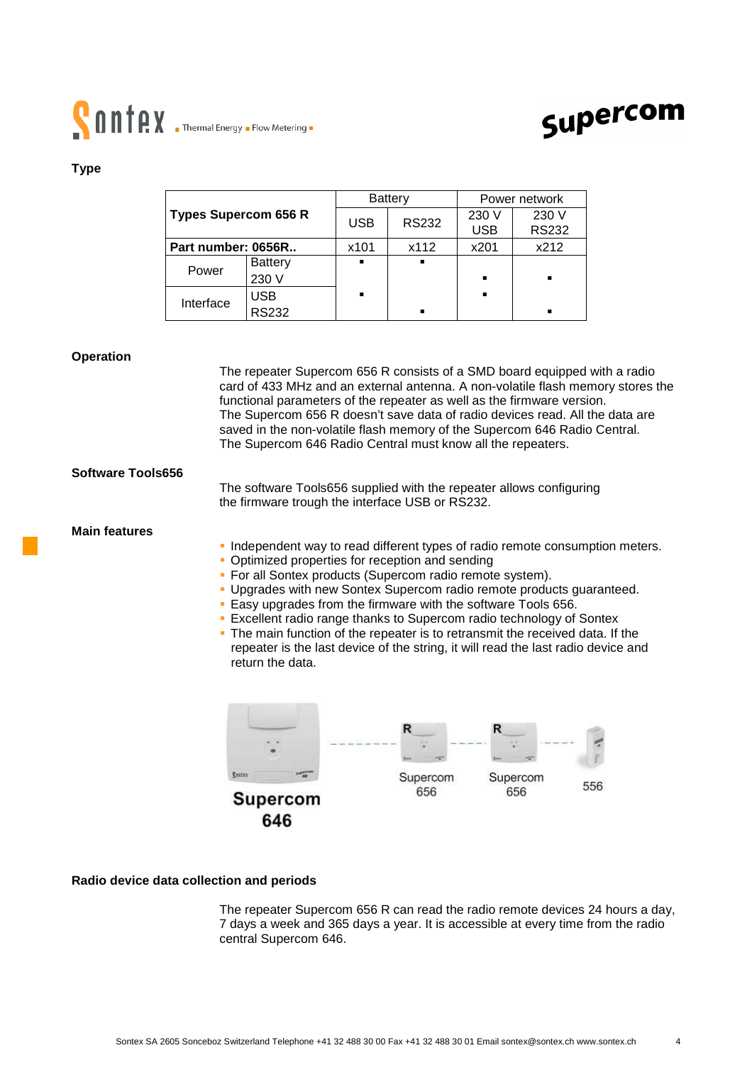# **CONTRY** Thermal Energy . Flow Metering .



#### **Type**

|                             |                |                | Battery      | Power network       |                       |  |
|-----------------------------|----------------|----------------|--------------|---------------------|-----------------------|--|
| <b>Types Supercom 656 R</b> |                | <b>USB</b>     | <b>RS232</b> | 230 V<br><b>USB</b> | 230 V<br><b>RS232</b> |  |
|                             |                |                |              |                     |                       |  |
| Part number: 0656R          |                | x101           | x112         | x201                | x212                  |  |
| Power                       | <b>Battery</b> | $\blacksquare$ | п            |                     |                       |  |
|                             | 230 V          |                |              | ٠                   | $\blacksquare$        |  |
| Interface                   | USB            | ٠              |              | ٠                   |                       |  |
|                             | <b>RS232</b>   |                | ٠            |                     | $\blacksquare$        |  |

#### **Operation**

|                          | The repeater Supercom 656 R consists of a SMD board equipped with a radio<br>card of 433 MHz and an external antenna. A non-volatile flash memory stores the<br>functional parameters of the repeater as well as the firmware version.<br>The Supercom 656 R doesn't save data of radio devices read. All the data are<br>saved in the non-volatile flash memory of the Supercom 646 Radio Central.<br>The Supercom 646 Radio Central must know all the repeaters.                                                                                                                                                                                                |  |
|--------------------------|-------------------------------------------------------------------------------------------------------------------------------------------------------------------------------------------------------------------------------------------------------------------------------------------------------------------------------------------------------------------------------------------------------------------------------------------------------------------------------------------------------------------------------------------------------------------------------------------------------------------------------------------------------------------|--|
| <b>Software Tools656</b> | The software Tools656 supplied with the repeater allows configuring<br>the firmware trough the interface USB or RS232.                                                                                                                                                                                                                                                                                                                                                                                                                                                                                                                                            |  |
| <b>Main features</b>     | Independent way to read different types of radio remote consumption meters.<br>Optimized properties for reception and sending<br>• For all Sontex products (Supercom radio remote system).<br>Upgrades with new Sontex Supercom radio remote products guaranteed.<br>Easy upgrades from the firmware with the software Tools 656.<br>Excellent radio range thanks to Supercom radio technology of Sontex<br>. The main function of the repeater is to retransmit the received data. If the<br>repeater is the last device of the string, it will read the last radio device and<br>return the data.<br><b>Suster</b><br>Supercom<br>Supercom<br>556<br>656<br>656 |  |
|                          | <b>Supercom</b><br>646                                                                                                                                                                                                                                                                                                                                                                                                                                                                                                                                                                                                                                            |  |

#### **Radio device data collection and periods**

 The repeater Supercom 656 R can read the radio remote devices 24 hours a day, 7 days a week and 365 days a year. It is accessible at every time from the radio central Supercom 646.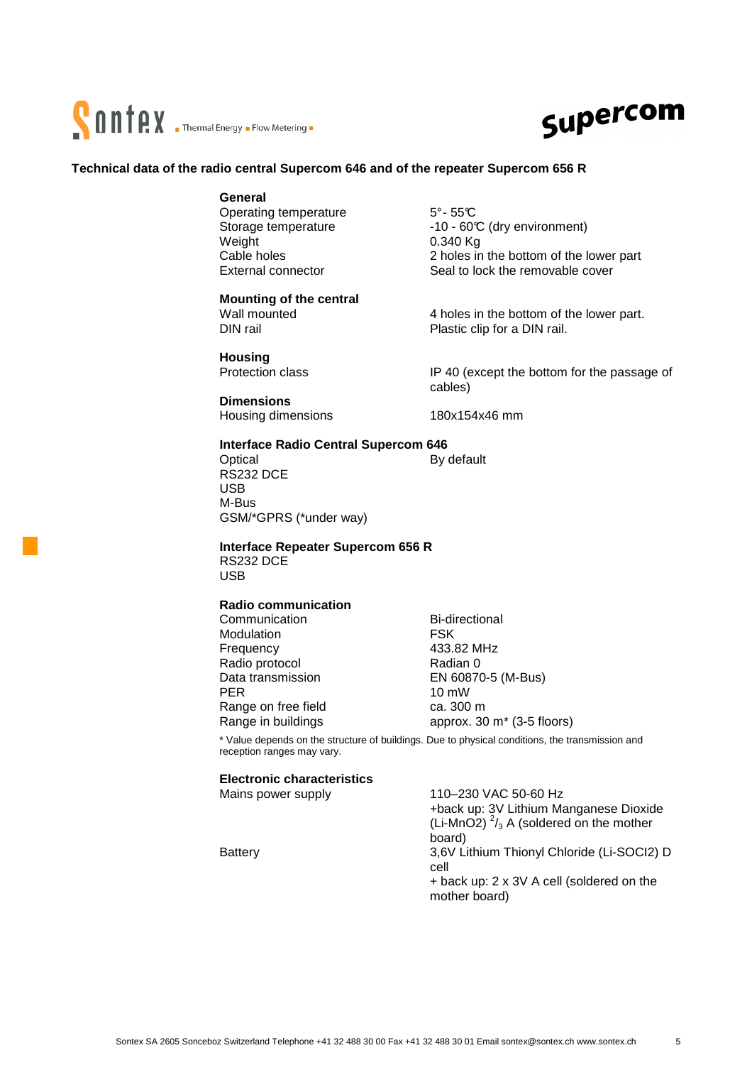



#### **Technical data of the radio central Supercom 646 and of the repeater Supercom 656 R**

#### **General**

Operating temperature 5°-55℃ Weight 0.340 Kg

#### **Mounting of the central**

 **Housing** 

 **Dimensions**  Housing dimensions 180x154x46 mm

Storage temperature -10 - 60°C (dry environment) Cable holes<br>
External connector<br>
External connector<br>
2 holes in the bottom of the lower part<br>
Seal to lock the removable cover Seal to lock the removable cover

Wall mounted 4 holes in the bottom of the lower part.<br>
DIN rail and Plastic clip for a DIN rail Plastic clip for a DIN rail.

Protection class **IP 40** (except the bottom for the passage of cables)

#### **Interface Radio Central Supercom 646**

Optical By default RS232 DCE USB M-Bus GSM/\*GPRS (\*under way)

 **Interface Repeater Supercom 656 R**  RS232 DCE

USB

#### **Radio communication**

Communication Bi-directional<br>Modulation BSK Modulation Frequency 433.82 MHz Radio protocol Radian 0 Data transmission EN 60870-5 (M-Bus) PER 10 mW Range on free field ca. 300 m

Range in buildings approx. 30 m<sup>\*</sup> (3-5 floors)

\* Value depends on the structure of buildings. Due to physical conditions, the transmission and reception ranges may vary.

#### **Electronic characteristics**

Mains power supply 110–230 VAC 50-60 Hz

+back up: 3V Lithium Manganese Dioxide (Li-MnO2)  $\frac{2}{3}$  A (soldered on the mother board) Battery 3,6V Lithium Thionyl Chloride (Li-SOCI2) D cell + back up: 2 x 3V A cell (soldered on the mother board)